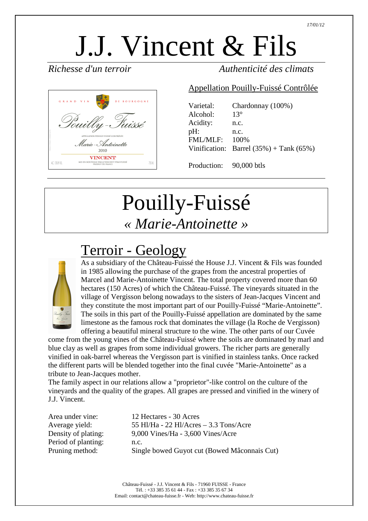# J.J. Vincent & Fils



#### *Richesse d'un terroir Authenticité des climats*

#### Appellation Pouilly-Fuissé Contrôlée

| Varietal:       | Chardonnay (100%)                             |
|-----------------|-----------------------------------------------|
| Alcohol:        | $13^{\circ}$                                  |
| Acidity:        | n.c.                                          |
| $pH$ :          | n.c.                                          |
| <b>FML/MLF:</b> | 100%                                          |
|                 | Vinification: Barrel $(35\%)$ + Tank $(65\%)$ |
|                 |                                               |

Production: 90,000 btls

## Pouilly-Fuissé *« Marie-Antoinette »*

#### Terroir - Geology



As a subsidiary of the Château-Fuissé the House J.J. Vincent & Fils was founded in 1985 allowing the purchase of the grapes from the ancestral properties of Marcel and Marie-Antoinette Vincent. The total property covered more than 60 hectares (150 Acres) of which the Château-Fuissé. The vineyards situated in the village of Vergisson belong nowadays to the sisters of Jean-Jacques Vincent and they constitute the most important part of our Pouilly-Fuissé "Marie-Antoinette". The soils in this part of the Pouilly-Fuissé appellation are dominated by the same limestone as the famous rock that dominates the village (la Roche de Vergisson) offering a beautiful mineral structure to the wine. The other parts of our Cuvée

come from the young vines of the Château-Fuissé where the soils are dominated by marl and blue clay as well as grapes from some individual growers. The richer parts are generally vinified in oak-barrel whereas the Vergisson part is vinified in stainless tanks. Once racked the different parts will be blended together into the final cuvée "Marie-Antoinette" as a tribute to Jean-Jacques mother.

The family aspect in our relations allow a "proprietor"-like control on the culture of the vineyards and the quality of the grapes. All grapes are pressed and vinified in the winery of J.J. Vincent.

Period of planting: n.c.

Area under vine: 12 Hectares - 30 Acres Average yield: 55 Hl/Ha - 22 Hl/Acres – 3.3 Tons/Acre Density of plating: 9,000 Vines/Ha - 3,600 Vines/Acre Pruning method: Single bowed Guyot cut (Bowed Mâconnais Cut)